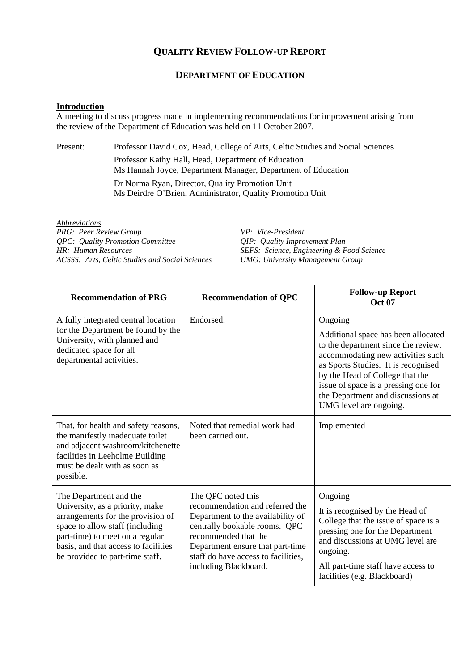## **QUALITY REVIEW FOLLOW-UP REPORT**

## **DEPARTMENT OF EDUCATION**

## **Introduction**

A meeting to discuss progress made in implementing recommendations for improvement arising from the review of the Department of Education was held on 11 October 2007.

Present: Professor David Cox, Head, College of Arts, Celtic Studies and Social Sciences Professor Kathy Hall, Head, Department of Education Ms Hannah Joyce, Department Manager, Department of Education Dr Norma Ryan, Director, Quality Promotion Unit Ms Deirdre O'Brien, Administrator, Quality Promotion Unit

*Abbreviations PRG: Peer Review Group VP: Vice-President QPC: Quality Promotion Committee QIP: Quality Improvement Plan HR: Human Resources SEFS: Science, Engineering & Food Science ACSSS: Arts, Celtic Studies and Social Sciences UMG: University Management Group* 

| <b>Recommendation of PRG</b>                                                                                                                                                                                                                    | <b>Recommendation of QPC</b>                                                                                                                                                                                                                            | <b>Follow-up Report</b><br><b>Oct 07</b>                                                                                                                                                                                                                                                                    |
|-------------------------------------------------------------------------------------------------------------------------------------------------------------------------------------------------------------------------------------------------|---------------------------------------------------------------------------------------------------------------------------------------------------------------------------------------------------------------------------------------------------------|-------------------------------------------------------------------------------------------------------------------------------------------------------------------------------------------------------------------------------------------------------------------------------------------------------------|
| A fully integrated central location<br>for the Department be found by the<br>University, with planned and<br>dedicated space for all<br>departmental activities.                                                                                | Endorsed.                                                                                                                                                                                                                                               | Ongoing<br>Additional space has been allocated<br>to the department since the review,<br>accommodating new activities such<br>as Sports Studies. It is recognised<br>by the Head of College that the<br>issue of space is a pressing one for<br>the Department and discussions at<br>UMG level are ongoing. |
| That, for health and safety reasons,<br>the manifestly inadequate toilet<br>and adjacent washroom/kitchenette<br>facilities in Leeholme Building<br>must be dealt with as soon as<br>possible.                                                  | Noted that remedial work had<br>been carried out.                                                                                                                                                                                                       | Implemented                                                                                                                                                                                                                                                                                                 |
| The Department and the<br>University, as a priority, make<br>arrangements for the provision of<br>space to allow staff (including<br>part-time) to meet on a regular<br>basis, and that access to facilities<br>be provided to part-time staff. | The QPC noted this<br>recommendation and referred the<br>Department to the availability of<br>centrally bookable rooms. QPC<br>recommended that the<br>Department ensure that part-time<br>staff do have access to facilities,<br>including Blackboard. | Ongoing<br>It is recognised by the Head of<br>College that the issue of space is a<br>pressing one for the Department<br>and discussions at UMG level are<br>ongoing.<br>All part-time staff have access to<br>facilities (e.g. Blackboard)                                                                 |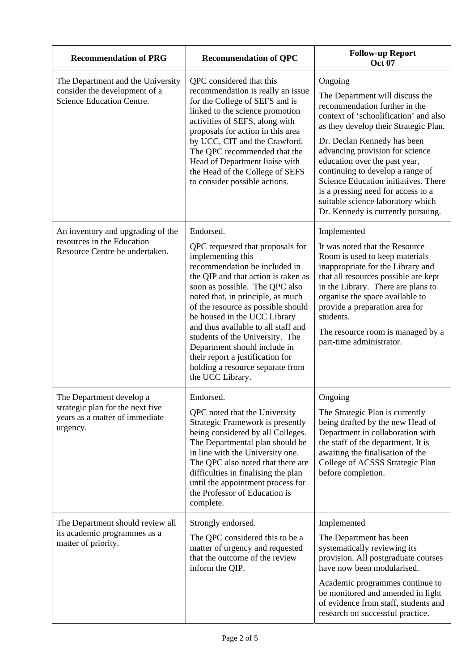| <b>Recommendation of PRG</b>                                                                               | <b>Recommendation of QPC</b>                                                                                                                                                                                                                                                                                                                                                                                                                                                                  | <b>Follow-up Report</b><br><b>Oct 07</b>                                                                                                                                                                                                                                                                                                                                                                                                                      |
|------------------------------------------------------------------------------------------------------------|-----------------------------------------------------------------------------------------------------------------------------------------------------------------------------------------------------------------------------------------------------------------------------------------------------------------------------------------------------------------------------------------------------------------------------------------------------------------------------------------------|---------------------------------------------------------------------------------------------------------------------------------------------------------------------------------------------------------------------------------------------------------------------------------------------------------------------------------------------------------------------------------------------------------------------------------------------------------------|
| The Department and the University<br>consider the development of a<br>Science Education Centre.            | QPC considered that this<br>recommendation is really an issue<br>for the College of SEFS and is<br>linked to the science promotion<br>activities of SEFS, along with<br>proposals for action in this area<br>by UCC, CIT and the Crawford.<br>The QPC recommended that the<br>Head of Department liaise with<br>the Head of the College of SEFS<br>to consider possible actions.                                                                                                              | Ongoing<br>The Department will discuss the<br>recommendation further in the<br>context of 'schoolification' and also<br>as they develop their Strategic Plan.<br>Dr. Declan Kennedy has been<br>advancing provision for science<br>education over the past year,<br>continuing to develop a range of<br>Science Education initiatives. There<br>is a pressing need for access to a<br>suitable science laboratory which<br>Dr. Kennedy is currently pursuing. |
| An inventory and upgrading of the<br>resources in the Education<br>Resource Centre be undertaken.          | Endorsed.<br>QPC requested that proposals for<br>implementing this<br>recommendation be included in<br>the QIP and that action is taken as<br>soon as possible. The QPC also<br>noted that, in principle, as much<br>of the resource as possible should<br>be housed in the UCC Library<br>and thus available to all staff and<br>students of the University. The<br>Department should include in<br>their report a justification for<br>holding a resource separate from<br>the UCC Library. | Implemented<br>It was noted that the Resource<br>Room is used to keep materials<br>inappropriate for the Library and<br>that all resources possible are kept<br>in the Library. There are plans to<br>organise the space available to<br>provide a preparation area for<br>students.<br>The resource room is managed by a<br>part-time administrator.                                                                                                         |
| The Department develop a<br>strategic plan for the next five<br>years as a matter of immediate<br>urgency. | Endorsed.<br>QPC noted that the University<br>Strategic Framework is presently<br>being considered by all Colleges.<br>The Departmental plan should be<br>in line with the University one.<br>The QPC also noted that there are<br>difficulties in finalising the plan<br>until the appointment process for<br>the Professor of Education is<br>complete.                                                                                                                                     | Ongoing<br>The Strategic Plan is currently<br>being drafted by the new Head of<br>Department in collaboration with<br>the staff of the department. It is<br>awaiting the finalisation of the<br>College of ACSSS Strategic Plan<br>before completion.                                                                                                                                                                                                         |
| The Department should review all<br>its academic programmes as a<br>matter of priority.                    | Strongly endorsed.<br>The QPC considered this to be a<br>matter of urgency and requested<br>that the outcome of the review<br>inform the QIP.                                                                                                                                                                                                                                                                                                                                                 | Implemented<br>The Department has been<br>systematically reviewing its<br>provision. All postgraduate courses<br>have now been modularised.<br>Academic programmes continue to<br>be monitored and amended in light<br>of evidence from staff, students and<br>research on successful practice.                                                                                                                                                               |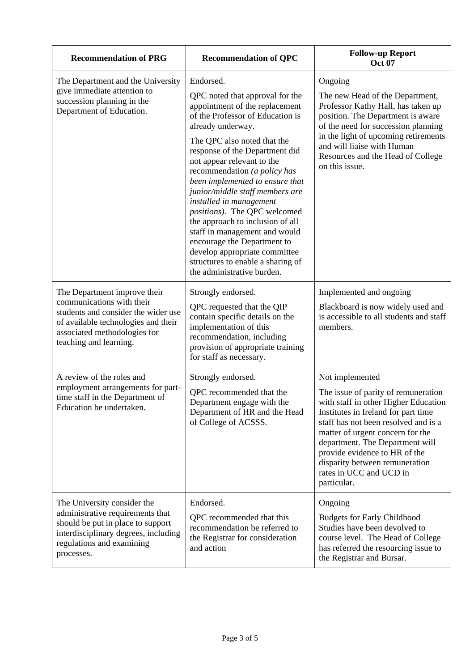| <b>Recommendation of PRG</b>                                                                                                                                                                      | <b>Recommendation of QPC</b>                                                                                                                                                                                                                                                                                                                                                                                                                                                                                                                                                                                            | <b>Follow-up Report</b><br><b>Oct 07</b>                                                                                                                                                                                                                                                                                                                          |
|---------------------------------------------------------------------------------------------------------------------------------------------------------------------------------------------------|-------------------------------------------------------------------------------------------------------------------------------------------------------------------------------------------------------------------------------------------------------------------------------------------------------------------------------------------------------------------------------------------------------------------------------------------------------------------------------------------------------------------------------------------------------------------------------------------------------------------------|-------------------------------------------------------------------------------------------------------------------------------------------------------------------------------------------------------------------------------------------------------------------------------------------------------------------------------------------------------------------|
| The Department and the University<br>give immediate attention to<br>succession planning in the<br>Department of Education.                                                                        | Endorsed.<br>QPC noted that approval for the<br>appointment of the replacement<br>of the Professor of Education is<br>already underway.<br>The QPC also noted that the<br>response of the Department did<br>not appear relevant to the<br>recommendation (a policy has<br>been implemented to ensure that<br>junior/middle staff members are<br>installed in management<br><i>positions</i> ). The QPC welcomed<br>the approach to inclusion of all<br>staff in management and would<br>encourage the Department to<br>develop appropriate committee<br>structures to enable a sharing of<br>the administrative burden. | Ongoing<br>The new Head of the Department,<br>Professor Kathy Hall, has taken up<br>position. The Department is aware<br>of the need for succession planning<br>in the light of upcoming retirements<br>and will liaise with Human<br>Resources and the Head of College<br>on this issue.                                                                         |
| The Department improve their<br>communications with their<br>students and consider the wider use<br>of available technologies and their<br>associated methodologies for<br>teaching and learning. | Strongly endorsed.<br>QPC requested that the QIP<br>contain specific details on the<br>implementation of this<br>recommendation, including<br>provision of appropriate training<br>for staff as necessary.                                                                                                                                                                                                                                                                                                                                                                                                              | Implemented and ongoing<br>Blackboard is now widely used and<br>is accessible to all students and staff<br>members.                                                                                                                                                                                                                                               |
| A review of the roles and<br>employment arrangements for part-<br>time staff in the Department of<br>Education be undertaken.                                                                     | Strongly endorsed.<br>QPC recommended that the<br>Department engage with the<br>Department of HR and the Head<br>of College of ACSSS.                                                                                                                                                                                                                                                                                                                                                                                                                                                                                   | Not implemented<br>The issue of parity of remuneration<br>with staff in other Higher Education<br>Institutes in Ireland for part time<br>staff has not been resolved and is a<br>matter of urgent concern for the<br>department. The Department will<br>provide evidence to HR of the<br>disparity between remuneration<br>rates in UCC and UCD in<br>particular. |
| The University consider the<br>administrative requirements that<br>should be put in place to support<br>interdisciplinary degrees, including<br>regulations and examining<br>processes.           | Endorsed.<br>QPC recommended that this<br>recommendation be referred to<br>the Registrar for consideration<br>and action                                                                                                                                                                                                                                                                                                                                                                                                                                                                                                | Ongoing<br><b>Budgets for Early Childhood</b><br>Studies have been devolved to<br>course level. The Head of College<br>has referred the resourcing issue to<br>the Registrar and Bursar.                                                                                                                                                                          |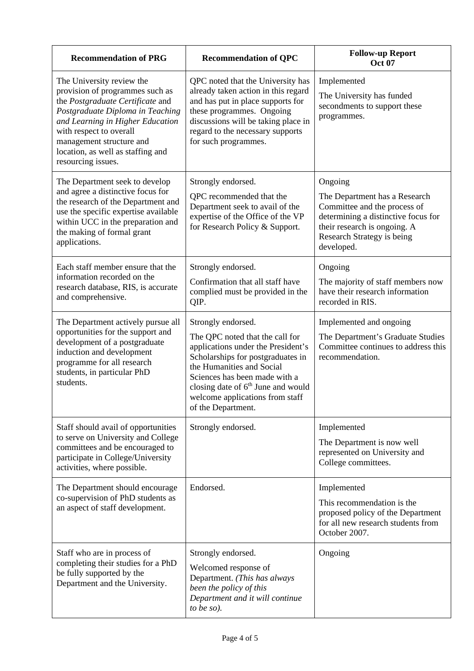| <b>Recommendation of PRG</b>                                                                                                                                                                                                                                                               | <b>Recommendation of QPC</b>                                                                                                                                                                                                                                                                              | <b>Follow-up Report</b><br><b>Oct 07</b>                                                                                                                                                    |
|--------------------------------------------------------------------------------------------------------------------------------------------------------------------------------------------------------------------------------------------------------------------------------------------|-----------------------------------------------------------------------------------------------------------------------------------------------------------------------------------------------------------------------------------------------------------------------------------------------------------|---------------------------------------------------------------------------------------------------------------------------------------------------------------------------------------------|
| The University review the<br>provision of programmes such as<br>the Postgraduate Certificate and<br>Postgraduate Diploma in Teaching<br>and Learning in Higher Education<br>with respect to overall<br>management structure and<br>location, as well as staffing and<br>resourcing issues. | QPC noted that the University has<br>already taken action in this regard<br>and has put in place supports for<br>these programmes. Ongoing<br>discussions will be taking place in<br>regard to the necessary supports<br>for such programmes.                                                             | Implemented<br>The University has funded<br>secondments to support these<br>programmes.                                                                                                     |
| The Department seek to develop<br>and agree a distinctive focus for<br>the research of the Department and<br>use the specific expertise available<br>within UCC in the preparation and<br>the making of formal grant<br>applications.                                                      | Strongly endorsed.<br>QPC recommended that the<br>Department seek to avail of the<br>expertise of the Office of the VP<br>for Research Policy & Support.                                                                                                                                                  | Ongoing<br>The Department has a Research<br>Committee and the process of<br>determining a distinctive focus for<br>their research is ongoing. A<br>Research Strategy is being<br>developed. |
| Each staff member ensure that the<br>information recorded on the<br>research database, RIS, is accurate<br>and comprehensive.                                                                                                                                                              | Strongly endorsed.<br>Confirmation that all staff have<br>complied must be provided in the<br>QIP.                                                                                                                                                                                                        | Ongoing<br>The majority of staff members now<br>have their research information<br>recorded in RIS.                                                                                         |
| The Department actively pursue all<br>opportunities for the support and<br>development of a postgraduate<br>induction and development<br>programme for all research<br>students, in particular PhD<br>students.                                                                            | Strongly endorsed.<br>The QPC noted that the call for<br>applications under the President's<br>Scholarships for postgraduates in<br>the Humanities and Social<br>Sciences has been made with a<br>closing date of 6 <sup>th</sup> June and would<br>welcome applications from staff<br>of the Department. | Implemented and ongoing<br>The Department's Graduate Studies<br>Committee continues to address this<br>recommendation.                                                                      |
| Staff should avail of opportunities<br>to serve on University and College<br>committees and be encouraged to<br>participate in College/University<br>activities, where possible.                                                                                                           | Strongly endorsed.                                                                                                                                                                                                                                                                                        | Implemented<br>The Department is now well<br>represented on University and<br>College committees.                                                                                           |
| The Department should encourage<br>co-supervision of PhD students as<br>an aspect of staff development.                                                                                                                                                                                    | Endorsed.                                                                                                                                                                                                                                                                                                 | Implemented<br>This recommendation is the<br>proposed policy of the Department<br>for all new research students from<br>October 2007.                                                       |
| Staff who are in process of<br>completing their studies for a PhD<br>be fully supported by the<br>Department and the University.                                                                                                                                                           | Strongly endorsed.<br>Welcomed response of<br>Department. (This has always<br>been the policy of this<br>Department and it will continue<br>to be so).                                                                                                                                                    | Ongoing                                                                                                                                                                                     |